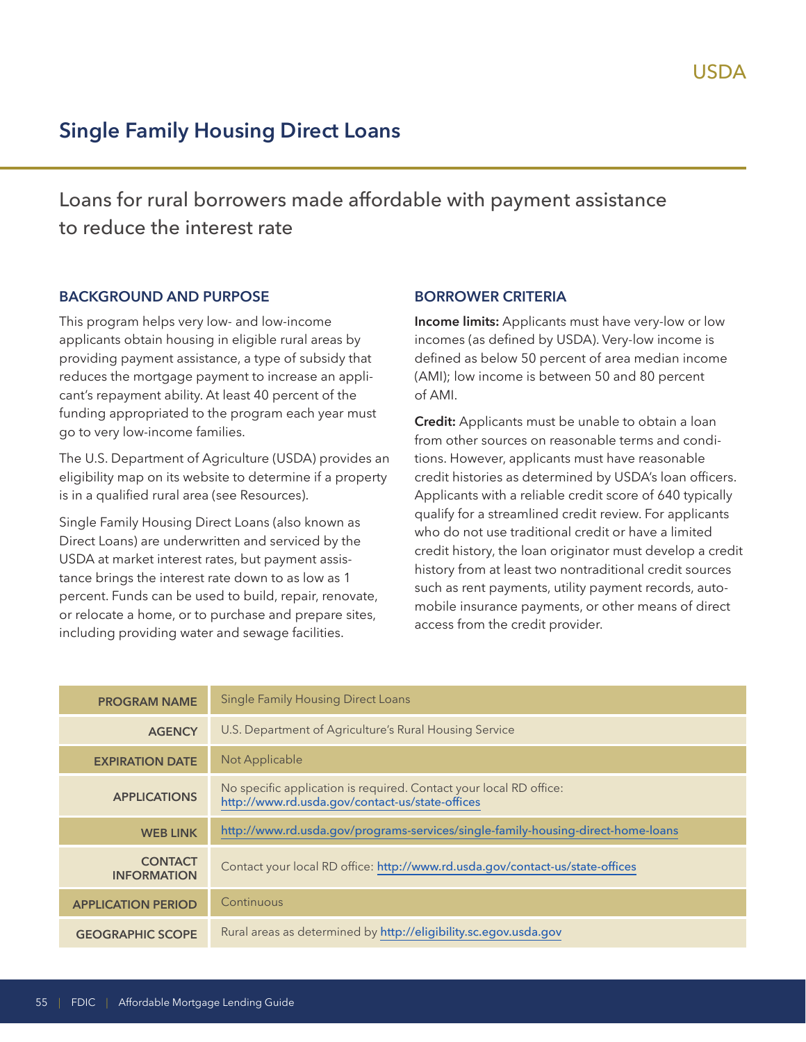# **Single Family Housing Direct Loans**

Loans for rural borrowers made affordable with payment assistance to reduce the interest rate

#### **BACKGROUND AND PURPOSE**

This program helps very low- and low-income applicants obtain housing in eligible rural areas by providing payment assistance, a type of subsidy that reduces the mortgage payment to increase an applicant's repayment ability. At least 40 percent of the funding appropriated to the program each year must go to very low-income families.

The U.S. Department of Agriculture (USDA) provides an eligibility map on its website to determine if a property is in a qualified rural area (see Resources).

Single Family Housing Direct Loans (also known as Direct Loans) are underwritten and serviced by the USDA at market interest rates, but payment assistance brings the interest rate down to as low as 1 percent. Funds can be used to build, repair, renovate, or relocate a home, or to purchase and prepare sites, including providing water and sewage facilities.

#### **BORROWER CRITERIA**

**Income limits:** Applicants must have very-low or low incomes (as defined by USDA). Very-low income is defined as below 50 percent of area median income (AMI); low income is between 50 and 80 percent of AMI.

**Credit:** Applicants must be unable to obtain a loan from other sources on reasonable terms and conditions. However, applicants must have reasonable credit histories as determined by USDA's loan officers. Applicants with a reliable credit score of 640 typically qualify for a streamlined credit review. For applicants who do not use traditional credit or have a limited credit history, the loan originator must develop a credit history from at least two nontraditional credit sources such as rent payments, utility payment records, automobile insurance payments, or other means of direct access from the credit provider.

| <b>PROGRAM NAME</b>                  | <b>Single Family Housing Direct Loans</b>                                                                             |
|--------------------------------------|-----------------------------------------------------------------------------------------------------------------------|
| <b>AGENCY</b>                        | U.S. Department of Agriculture's Rural Housing Service                                                                |
| <b>EXPIRATION DATE</b>               | Not Applicable                                                                                                        |
| <b>APPLICATIONS</b>                  | No specific application is required. Contact your local RD office:<br>http://www.rd.usda.gov/contact-us/state-offices |
| <b>WEB LINK</b>                      | http://www.rd.usda.gov/programs-services/single-family-housing-direct-home-loans                                      |
| <b>CONTACT</b><br><b>INFORMATION</b> | Contact your local RD office: http://www.rd.usda.gov/contact-us/state-offices                                         |
| <b>APPLICATION PERIOD</b>            | Continuous                                                                                                            |
| <b>GEOGRAPHIC SCOPE</b>              | Rural areas as determined by http://eligibility.sc.egov.usda.gov                                                      |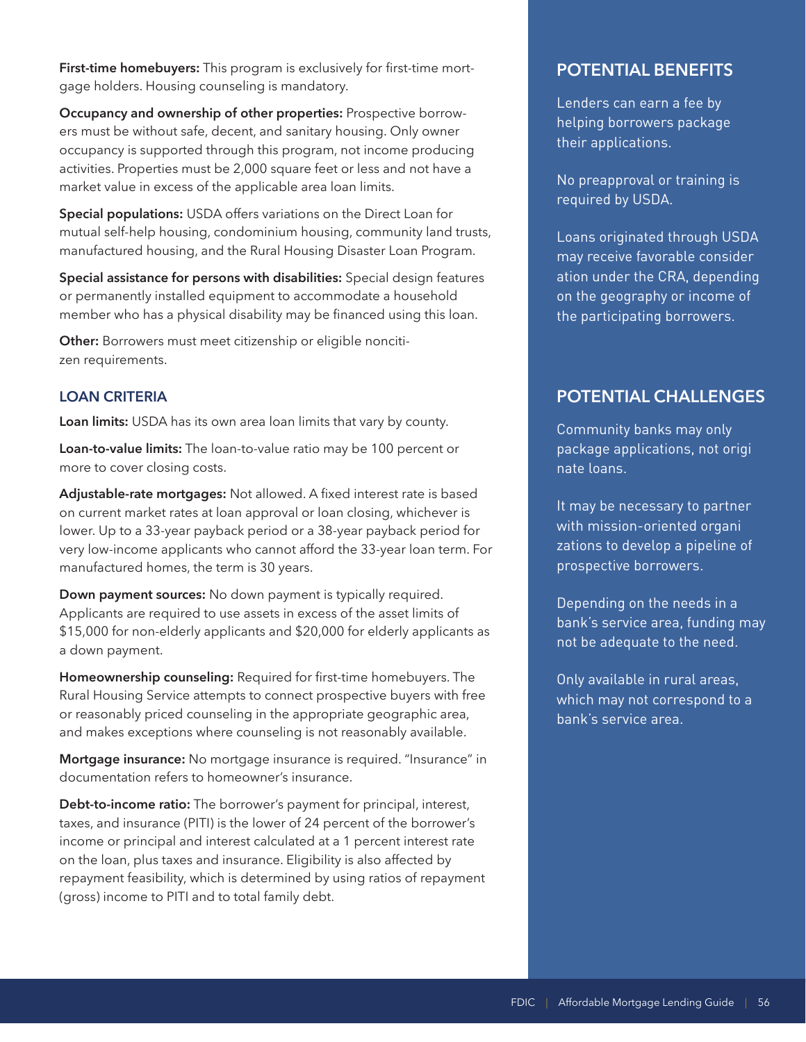**First-time homebuyers:** This program is exclusively for first-time mortgage holders. Housing counseling is mandatory.

**Occupancy and ownership of other properties:** Prospective borrowers must be without safe, decent, and sanitary housing. Only owner occupancy is supported through this program, not income producing activities. Properties must be 2,000 square feet or less and not have a market value in excess of the applicable area loan limits.

**Special populations:** USDA offers variations on the Direct Loan for mutual self-help housing, condominium housing, community land trusts, manufactured housing, and the Rural Housing Disaster Loan Program.

**Special assistance for persons with disabilities:** Special design features or permanently installed equipment to accommodate a household member who has a physical disability may be financed using this loan.

**Other:** Borrowers must meet citizenship or eligible noncitizen requirements.

## **LOAN CRITERIA**

**Loan limits:** USDA has its own area loan limits that vary by county.

**Loan-to-value limits:** The loan-to-value ratio may be 100 percent or more to cover closing costs.

**Adjustable-rate mortgages:** Not allowed. A fixed interest rate is based on current market rates at loan approval or loan closing, whichever is lower. Up to a 33-year payback period or a 38-year payback period for very low-income applicants who cannot afford the 33-year loan term. For manufactured homes, the term is 30 years.

**Down payment sources:** No down payment is typically required. Applicants are required to use assets in excess of the asset limits of \$15,000 for non-elderly applicants and \$20,000 for elderly applicants as a down payment.

**Homeownership counseling:** Required for first-time homebuyers. The Rural Housing Service attempts to connect prospective buyers with free or reasonably priced counseling in the appropriate geographic area, and makes exceptions where counseling is not reasonably available.

**Mortgage insurance:** No mortgage insurance is required. "Insurance" in documentation refers to homeowner's insurance.

**Debt-to-income ratio:** The borrower's payment for principal, interest, taxes, and insurance (PITI) is the lower of 24 percent of the borrower's income or principal and interest calculated at a 1 percent interest rate on the loan, plus taxes and insurance. Eligibility is also affected by repayment feasibility, which is determined by using ratios of repayment (gross) income to PITI and to total family debt.

# **POTENTIAL BENEFITS**

Lenders can earn a fee by helping borrowers package their applications.

No preapproval or training is required by USDA.

may receive favorable consider Loans originated through USDA ation under the CRA, depending on the geography or income of the participating borrowers.

# **POTENTIAL CHALLENGES**

- package applications, not origi Community banks may only nate loans.

with mission-oriented organi It may be necessary to partner zations to develop a pipeline of prospective borrowers.

Depending on the needs in a bank's service area, funding may not be adequate to the need.

Only available in rural areas, which may not correspond to a bank's service area.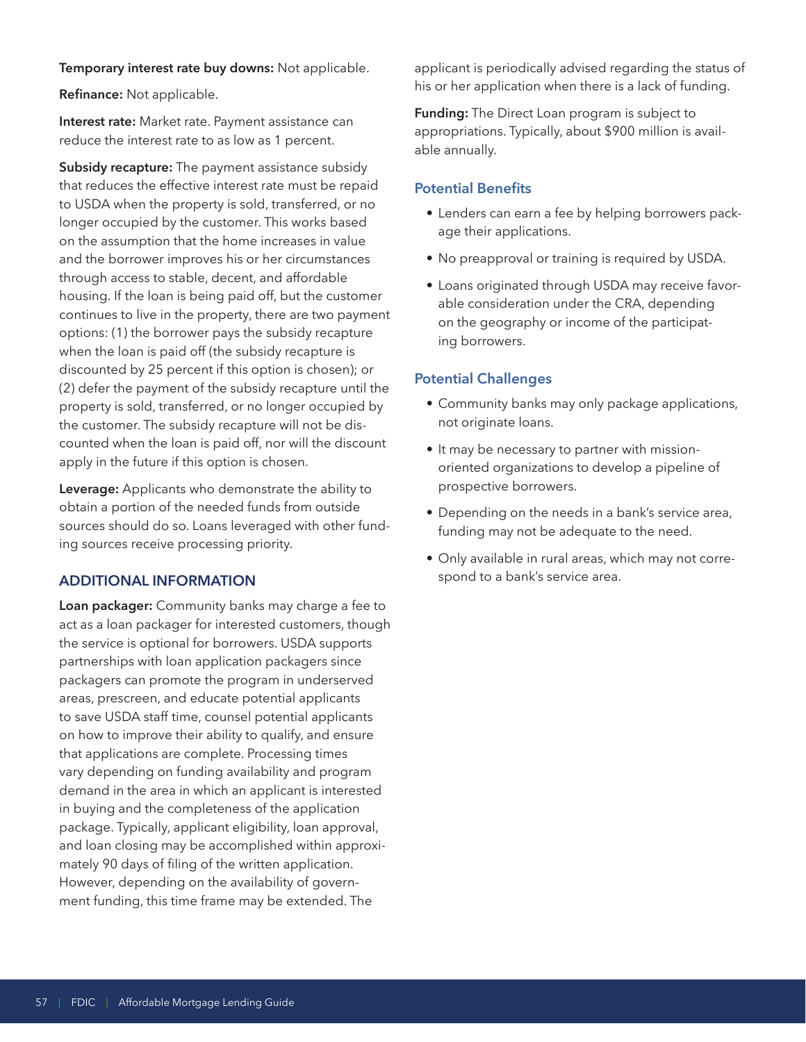#### **Temporary interest rate buy downs:** Not applicable.

**Refinance:** Not applicable.

**Interest rate:** Market rate. Payment assistance can reduce the interest rate to as low as 1 percent.

**Subsidy recapture:** The payment assistance subsidy that reduces the effective interest rate must be repaid to USDA when the property is sold, transferred, or no longer occupied by the customer. This works based on the assumption that the home increases in value and the borrower improves his or her circumstances through access to stable, decent, and affordable housing. If the loan is being paid off, but the customer continues to live in the property, there are two payment options: (1) the borrower pays the subsidy recapture when the loan is paid off (the subsidy recapture is discounted by 25 percent if this option is chosen); or (2) defer the payment of the subsidy recapture until the property is sold, transferred, or no longer occupied by the customer. The subsidy recapture will not be discounted when the loan is paid off, nor will the discount apply in the future if this option is chosen.

**Leverage:** Applicants who demonstrate the ability to obtain a portion of the needed funds from outside sources should do so. Loans leveraged with other funding sources receive processing priority.

## **ADDITIONAL INFORMATION**

**Loan packager:** Community banks may charge a fee to act as a loan packager for interested customers, though the service is optional for borrowers. USDA supports partnerships with loan application packagers since packagers can promote the program in underserved areas, prescreen, and educate potential applicants to save USDA staff time, counsel potential applicants on how to improve their ability to qualify, and ensure that applications are complete. Processing times vary depending on funding availability and program demand in the area in which an applicant is interested in buying and the completeness of the application package. Typically, applicant eligibility, loan approval, and loan closing may be accomplished within approximately 90 days of filing of the written application. However, depending on the availability of government funding, this time frame may be extended. The

applicant is periodically advised regarding the status of his or her application when there is a lack of funding.

**Funding:** The Direct Loan program is subject to appropriations. Typically, about \$900 million is available annually.

#### **Potential Benefits**

- Lenders can earn a fee by helping borrowers package their applications.
- No preapproval or training is required by USDA.
- Loans originated through USDA may receive favorable consideration under the CRA, depending on the geography or income of the participating borrowers.

#### **Potential Challenges**

- Community banks may only package applications, not originate loans.
- It may be necessary to partner with missionoriented organizations to develop a pipeline of prospective borrowers.
- Depending on the needs in a bank's service area, funding may not be adequate to the need.
- Only available in rural areas, which may not correspond to a bank's service area.